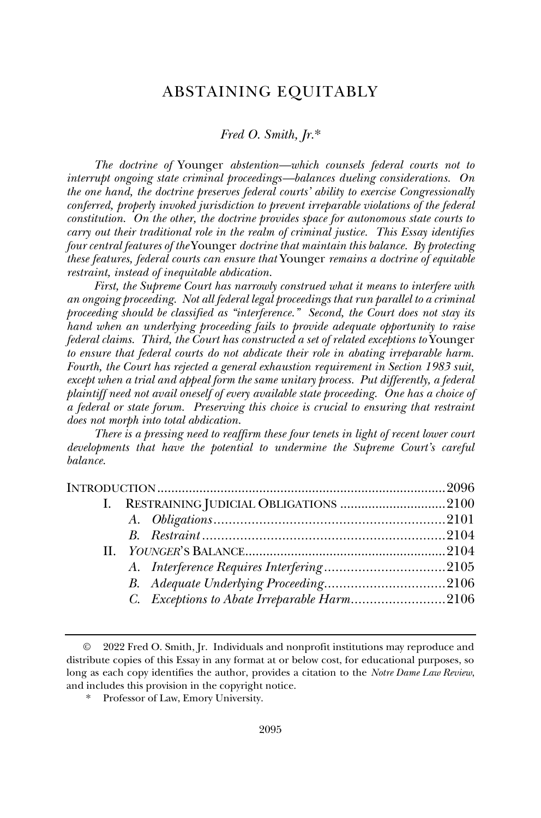# ABSTAINING EQUITABLY

## *Fred O. Smith, Jr.*\*

*The doctrine of* Younger *abstention—which counsels federal courts not to interrupt ongoing state criminal proceedings—balances dueling considerations. On the one hand, the doctrine preserves federal courts' ability to exercise Congressionally conferred, properly invoked jurisdiction to prevent irreparable violations of the federal constitution. On the other, the doctrine provides space for autonomous state courts to carry out their traditional role in the realm of criminal justice. This Essay identifies four central features of the* Younger *doctrine that maintain this balance. By protecting these features, federal courts can ensure that* Younger *remains a doctrine of equitable restraint, instead of inequitable abdication.* 

*First, the Supreme Court has narrowly construed what it means to interfere with an ongoing proceeding. Not all federal legal proceedings that run parallel to a criminal proceeding should be classified as "interference." Second, the Court does not stay its hand when an underlying proceeding fails to provide adequate opportunity to raise federal claims. Third, the Court has constructed a set of related exceptions to* Younger *to ensure that federal courts do not abdicate their role in abating irreparable harm. Fourth, the Court has rejected a general exhaustion requirement in Section 1983 suit, except when a trial and appeal form the same unitary process. Put differently, a federal*  plaintiff need not avail oneself of every available state proceeding. One has a choice of *a federal or state forum. Preserving this choice is crucial to ensuring that restraint does not morph into total abdication.*

*There is a pressing need to reaffirm these four tenets in light of recent lower court developments that have the potential to undermine the Supreme Court's careful balance.*

|  | C. Exceptions to Abate Irreparable Harm2106 |  |
|--|---------------------------------------------|--|
|  |                                             |  |

<sup>©</sup> 2022 Fred O. Smith, Jr. Individuals and nonprofit institutions may reproduce and distribute copies of this Essay in any format at or below cost, for educational purposes, so long as each copy identifies the author, provides a citation to the *Notre Dame Law Review*, and includes this provision in the copyright notice.

Professor of Law, Emory University.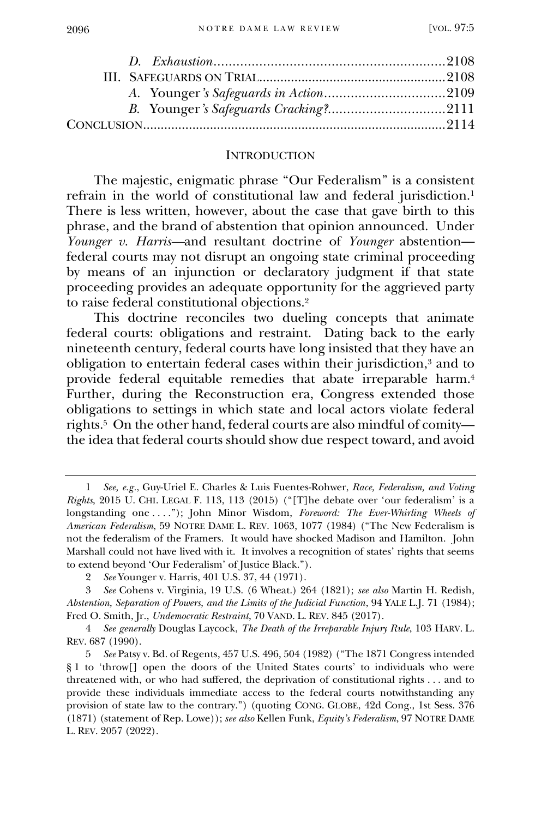#### **INTRODUCTION**

The majestic, enigmatic phrase "Our Federalism" is a consistent refrain in the world of constitutional law and federal jurisdiction.<sup>1</sup> There is less written, however, about the case that gave birth to this phrase, and the brand of abstention that opinion announced. Under *Younger v. Harris—*and resultant doctrine of *Younger* abstention federal courts may not disrupt an ongoing state criminal proceeding by means of an injunction or declaratory judgment if that state proceeding provides an adequate opportunity for the aggrieved party to raise federal constitutional objections.<sup>2</sup>

This doctrine reconciles two dueling concepts that animate federal courts: obligations and restraint. Dating back to the early nineteenth century, federal courts have long insisted that they have an obligation to entertain federal cases within their jurisdiction,<sup>3</sup> and to provide federal equitable remedies that abate irreparable harm.<sup>4</sup> Further, during the Reconstruction era, Congress extended those obligations to settings in which state and local actors violate federal rights.<sup>5</sup> On the other hand, federal courts are also mindful of comity the idea that federal courts should show due respect toward, and avoid

<sup>1</sup> *See, e.g.*, Guy-Uriel E. Charles & Luis Fuentes-Rohwer, *Race, Federalism, and Voting Rights*, 2015 U. CHI. LEGAL F. 113, 113 (2015) ("[T]he debate over 'our federalism' is a longstanding one . . . ."); John Minor Wisdom, *Foreword: The Ever-Whirling Wheels of American Federalism*, 59 NOTRE DAME L. REV. 1063, 1077 (1984) ("The New Federalism is not the federalism of the Framers. It would have shocked Madison and Hamilton. John Marshall could not have lived with it. It involves a recognition of states' rights that seems to extend beyond 'Our Federalism' of Justice Black.").

<sup>2</sup> *See* Younger v. Harris, 401 U.S. 37, 44 (1971).

<sup>3</sup> *See* Cohens v. Virginia, 19 U.S. (6 Wheat.) 264 (1821); *see also* Martin H. Redish, *Abstention, Separation of Powers, and the Limits of the Judicial Function*, 94 YALE L.J. 71 (1984); Fred O. Smith, Jr., *Undemocratic Restraint*, 70 VAND. L. REV. 845 (2017).

<sup>4</sup> *See generally* Douglas Laycock, *The Death of the Irreparable Injury Rule*, 103 HARV. L. REV. 687 (1990).

<sup>5</sup> *See* Patsy v. Bd. of Regents, 457 U.S. 496, 504 (1982) ("The 1871 Congress intended § 1 to 'throw[] open the doors of the United States courts' to individuals who were threatened with, or who had suffered, the deprivation of constitutional rights . . . and to provide these individuals immediate access to the federal courts notwithstanding any provision of state law to the contrary.") (quoting CONG. GLOBE, 42d Cong., 1st Sess. 376 (1871) (statement of Rep. Lowe)); *see also* Kellen Funk, *Equity's Federalism*, 97 NOTRE DAME L. REV. 2057 (2022).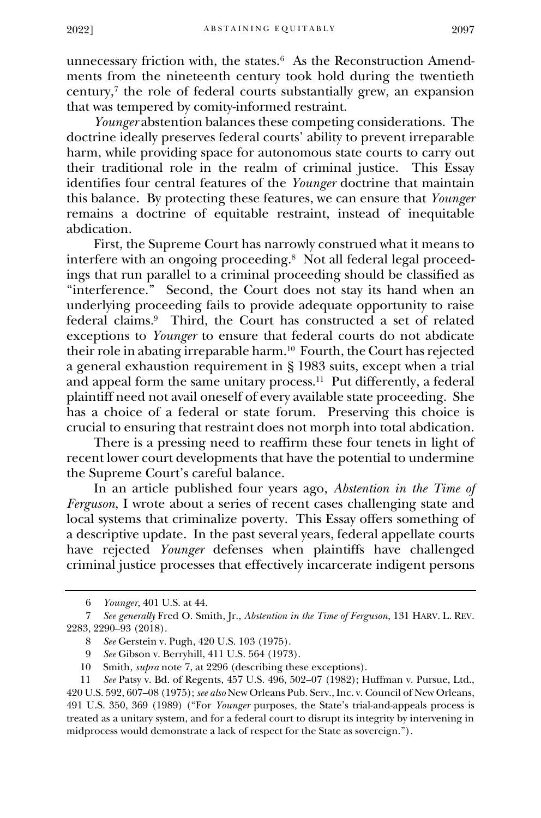unnecessary friction with, the states.<sup>6</sup> As the Reconstruction Amendments from the nineteenth century took hold during the twentieth century,<sup>7</sup> the role of federal courts substantially grew, an expansion that was tempered by comity-informed restraint.

*Younger* abstention balances these competing considerations. The doctrine ideally preserves federal courts' ability to prevent irreparable harm, while providing space for autonomous state courts to carry out their traditional role in the realm of criminal justice. This Essay identifies four central features of the *Younger* doctrine that maintain this balance. By protecting these features, we can ensure that *Younger*  remains a doctrine of equitable restraint, instead of inequitable abdication.

First, the Supreme Court has narrowly construed what it means to interfere with an ongoing proceeding.<sup>8</sup> Not all federal legal proceedings that run parallel to a criminal proceeding should be classified as "interference." Second, the Court does not stay its hand when an underlying proceeding fails to provide adequate opportunity to raise federal claims.<sup>9</sup> Third, the Court has constructed a set of related exceptions to *Younger* to ensure that federal courts do not abdicate their role in abating irreparable harm.<sup>10</sup> Fourth, the Court has rejected a general exhaustion requirement in § 1983 suits, except when a trial and appeal form the same unitary process.<sup>11</sup> Put differently, a federal plaintiff need not avail oneself of every available state proceeding. She has a choice of a federal or state forum. Preserving this choice is crucial to ensuring that restraint does not morph into total abdication.

There is a pressing need to reaffirm these four tenets in light of recent lower court developments that have the potential to undermine the Supreme Court's careful balance.

In an article published four years ago, *Abstention in the Time of Ferguson*, I wrote about a series of recent cases challenging state and local systems that criminalize poverty. This Essay offers something of a descriptive update. In the past several years, federal appellate courts have rejected *Younger* defenses when plaintiffs have challenged criminal justice processes that effectively incarcerate indigent persons

<sup>6</sup> *Younger*, 401 U.S. at 44.

<sup>7</sup> *See generally* Fred O. Smith, Jr., *Abstention in the Time of Ferguson*, 131 HARV. L. REV. 2283, 2290–93 (2018).

<sup>8</sup> *See* Gerstein v. Pugh, 420 U.S. 103 (1975).

<sup>9</sup> *See* Gibson v. Berryhill, 411 U.S. 564 (1973).

<sup>10</sup> Smith, *supra* note 7, at 2296 (describing these exceptions).

<sup>11</sup> *See* Patsy v. Bd. of Regents, 457 U.S. 496, 502–07 (1982); Huffman v. Pursue, Ltd., 420 U.S. 592, 607–08 (1975); *see also* New Orleans Pub. Serv., Inc. v. Council of New Orleans, 491 U.S. 350, 369 (1989) ("For *Younger* purposes, the State's trial-and-appeals process is treated as a unitary system, and for a federal court to disrupt its integrity by intervening in midprocess would demonstrate a lack of respect for the State as sovereign.").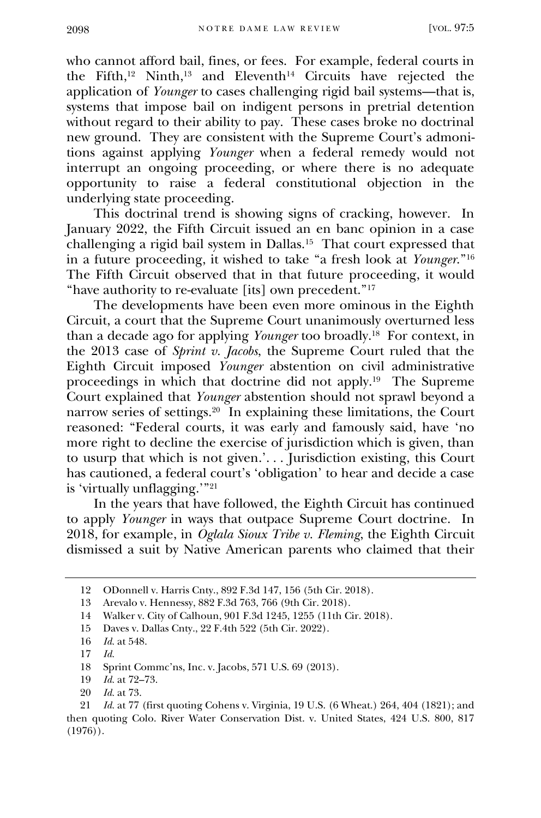who cannot afford bail, fines, or fees. For example, federal courts in the Fifth,<sup>12</sup> Ninth,<sup>13</sup> and Eleventh<sup>14</sup> Circuits have rejected the application of *Younger* to cases challenging rigid bail systems—that is, systems that impose bail on indigent persons in pretrial detention without regard to their ability to pay. These cases broke no doctrinal new ground. They are consistent with the Supreme Court's admonitions against applying *Younger* when a federal remedy would not interrupt an ongoing proceeding, or where there is no adequate opportunity to raise a federal constitutional objection in the underlying state proceeding.

This doctrinal trend is showing signs of cracking, however. In January 2022, the Fifth Circuit issued an en banc opinion in a case challenging a rigid bail system in Dallas.<sup>15</sup> That court expressed that in a future proceeding, it wished to take "a fresh look at *Younger*."<sup>16</sup> The Fifth Circuit observed that in that future proceeding, it would "have authority to re-evaluate [its] own precedent."<sup>17</sup>

The developments have been even more ominous in the Eighth Circuit, a court that the Supreme Court unanimously overturned less than a decade ago for applying *Younger* too broadly.<sup>18</sup> For context, in the 2013 case of *Sprint v. Jacobs*, the Supreme Court ruled that the Eighth Circuit imposed *Younger* abstention on civil administrative proceedings in which that doctrine did not apply.<sup>19</sup> The Supreme Court explained that *Younger* abstention should not sprawl beyond a narrow series of settings.<sup>20</sup> In explaining these limitations, the Court reasoned: "Federal courts, it was early and famously said, have 'no more right to decline the exercise of jurisdiction which is given, than to usurp that which is not given.'. . . Jurisdiction existing, this Court has cautioned, a federal court's 'obligation' to hear and decide a case is 'virtually unflagging.'"<sup>21</sup>

In the years that have followed, the Eighth Circuit has continued to apply *Younger* in ways that outpace Supreme Court doctrine. In 2018, for example, in *Oglala Sioux Tribe v. Fleming*, the Eighth Circuit dismissed a suit by Native American parents who claimed that their

<sup>12</sup> ODonnell v. Harris Cnty., 892 F.3d 147, 156 (5th Cir. 2018).

<sup>13</sup> Arevalo v. Hennessy, 882 F.3d 763, 766 (9th Cir. 2018).

<sup>14</sup> Walker v. City of Calhoun, 901 F.3d 1245, 1255 (11th Cir. 2018).

<sup>15</sup> Daves v. Dallas Cnty., 22 F.4th 522 (5th Cir. 2022).

<sup>16</sup> *Id.* at 548.

<sup>17</sup> *Id.*

<sup>18</sup> Sprint Commc'ns, Inc. v. Jacobs, 571 U.S. 69 (2013).

<sup>19</sup> *Id.* at 72–73.

<sup>20</sup> *Id.* at 73.

<sup>21</sup> *Id.* at 77 (first quoting Cohens v. Virginia, 19 U.S. (6 Wheat.) 264, 404 (1821); and then quoting Colo. River Water Conservation Dist. v. United States, 424 U.S. 800, 817  $(1976)$ .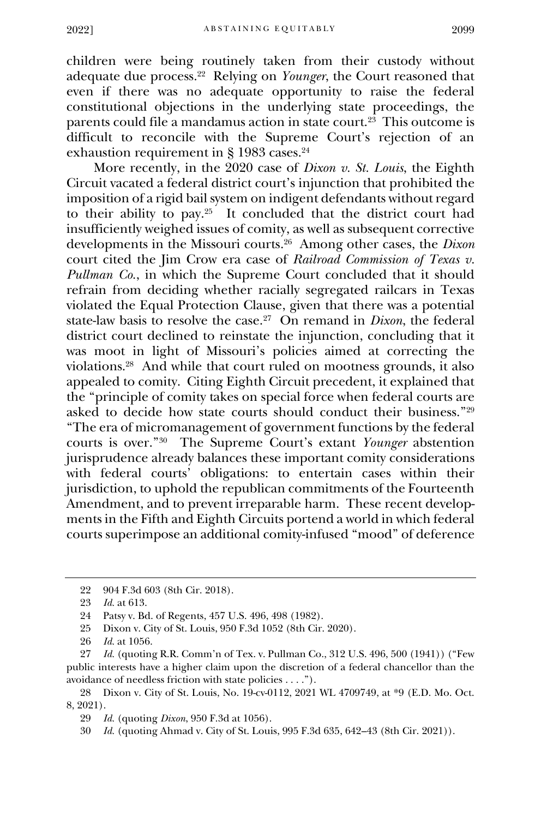children were being routinely taken from their custody without adequate due process. 22 Relying on *Younger*, the Court reasoned that even if there was no adequate opportunity to raise the federal constitutional objections in the underlying state proceedings, the parents could file a mandamus action in state court.<sup>23</sup> This outcome is difficult to reconcile with the Supreme Court's rejection of an exhaustion requirement in § 1983 cases.<sup>24</sup>

More recently, in the 2020 case of *Dixon v. St. Louis*, the Eighth Circuit vacated a federal district court's injunction that prohibited the imposition of a rigid bail system on indigent defendants without regard to their ability to pay.<sup>25</sup> It concluded that the district court had insufficiently weighed issues of comity, as well as subsequent corrective developments in the Missouri courts. 26 Among other cases, the *Dixon* court cited the Jim Crow era case of *Railroad Commission of Texas v. Pullman Co.*, in which the Supreme Court concluded that it should refrain from deciding whether racially segregated railcars in Texas violated the Equal Protection Clause, given that there was a potential state-law basis to resolve the case.<sup>27</sup> On remand in *Dixon*, the federal district court declined to reinstate the injunction, concluding that it was moot in light of Missouri's policies aimed at correcting the violations.<sup>28</sup> And while that court ruled on mootness grounds, it also appealed to comity. Citing Eighth Circuit precedent, it explained that the "principle of comity takes on special force when federal courts are asked to decide how state courts should conduct their business."<sup>29</sup> "The era of micromanagement of government functions by the federal courts is over."<sup>30</sup> The Supreme Court's extant *Younger* abstention jurisprudence already balances these important comity considerations with federal courts' obligations: to entertain cases within their jurisdiction, to uphold the republican commitments of the Fourteenth Amendment, and to prevent irreparable harm. These recent developments in the Fifth and Eighth Circuits portend a world in which federal courts superimpose an additional comity-infused "mood" of deference

<sup>22</sup> 904 F.3d 603 (8th Cir. 2018).

<sup>23</sup> *Id.* at 613.

<sup>24</sup> Patsy v. Bd. of Regents, 457 U.S. 496, 498 (1982).

<sup>25</sup> Dixon v. City of St. Louis, 950 F.3d 1052 (8th Cir. 2020).

<sup>26</sup> *Id.* at 1056.

<sup>27</sup> *Id.* (quoting R.R. Comm'n of Tex. v. Pullman Co., 312 U.S. 496, 500 (1941)) ("Few public interests have a higher claim upon the discretion of a federal chancellor than the avoidance of needless friction with state policies . . . .").

<sup>28</sup> Dixon v. City of St. Louis, No. 19-cv-0112, 2021 WL 4709749, at \*9 (E.D. Mo. Oct. 8, 2021).

<sup>29</sup> *Id.* (quoting *Dixon*, 950 F.3d at 1056).

<sup>30</sup> *Id.* (quoting Ahmad v. City of St. Louis, 995 F.3d 635, 642–43 (8th Cir. 2021)).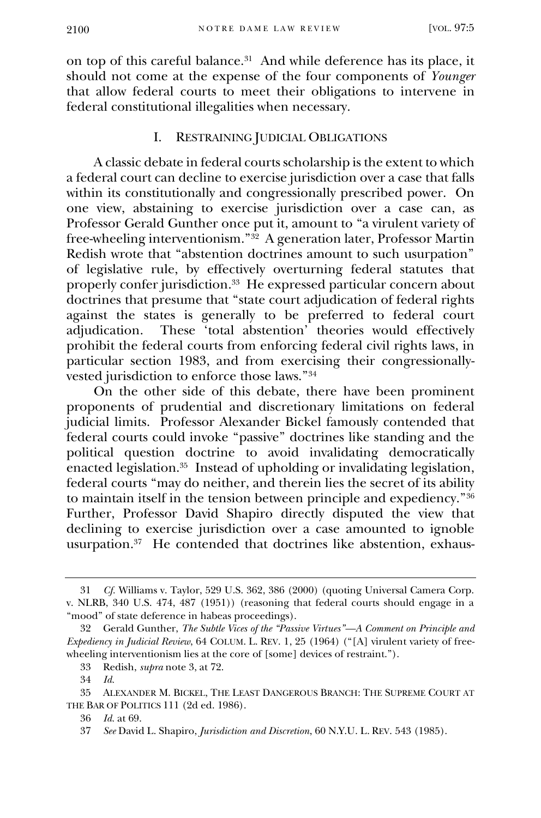on top of this careful balance.<sup>31</sup> And while deference has its place, it should not come at the expense of the four components of *Younger*  that allow federal courts to meet their obligations to intervene in federal constitutional illegalities when necessary.

## I. RESTRAINING JUDICIAL OBLIGATIONS

A classic debate in federal courts scholarship is the extent to which a federal court can decline to exercise jurisdiction over a case that falls within its constitutionally and congressionally prescribed power. On one view, abstaining to exercise jurisdiction over a case can, as Professor Gerald Gunther once put it, amount to "a virulent variety of free-wheeling interventionism."<sup>32</sup> A generation later, Professor Martin Redish wrote that "abstention doctrines amount to such usurpation" of legislative rule, by effectively overturning federal statutes that properly confer jurisdiction. 33 He expressed particular concern about doctrines that presume that "state court adjudication of federal rights against the states is generally to be preferred to federal court adjudication. These 'total abstention' theories would effectively prohibit the federal courts from enforcing federal civil rights laws, in particular section 1983, and from exercising their congressionallyvested jurisdiction to enforce those laws."<sup>34</sup>

On the other side of this debate, there have been prominent proponents of prudential and discretionary limitations on federal judicial limits. Professor Alexander Bickel famously contended that federal courts could invoke "passive" doctrines like standing and the political question doctrine to avoid invalidating democratically enacted legislation.<sup>35</sup> Instead of upholding or invalidating legislation, federal courts "may do neither, and therein lies the secret of its ability to maintain itself in the tension between principle and expediency."<sup>36</sup> Further, Professor David Shapiro directly disputed the view that declining to exercise jurisdiction over a case amounted to ignoble usurpation.<sup>37</sup> He contended that doctrines like abstention, exhaus-

<sup>31</sup> *Cf.* Williams v. Taylor, 529 U.S. 362, 386 (2000) (quoting Universal Camera Corp. v. NLRB, 340 U.S. 474, 487 (1951)) (reasoning that federal courts should engage in a "mood" of state deference in habeas proceedings).

<sup>32</sup> Gerald Gunther, *The Subtle Vices of the "Passive Virtues"—A Comment on Principle and Expediency in Judicial Review*, 64 COLUM. L. REV. 1, 25 (1964) ("[A] virulent variety of freewheeling interventionism lies at the core of [some] devices of restraint.").

<sup>33</sup> Redish, *supra* note 3, at 72.

<sup>34</sup> *Id.*

<sup>35</sup> ALEXANDER M. BICKEL, THE LEAST DANGEROUS BRANCH: THE SUPREME COURT AT THE BAR OF POLITICS 111 (2d ed. 1986).

<sup>36</sup> *Id.* at 69.

<sup>37</sup> *See* David L. Shapiro, *Jurisdiction and Discretion*, 60 N.Y.U. L. REV. 543 (1985).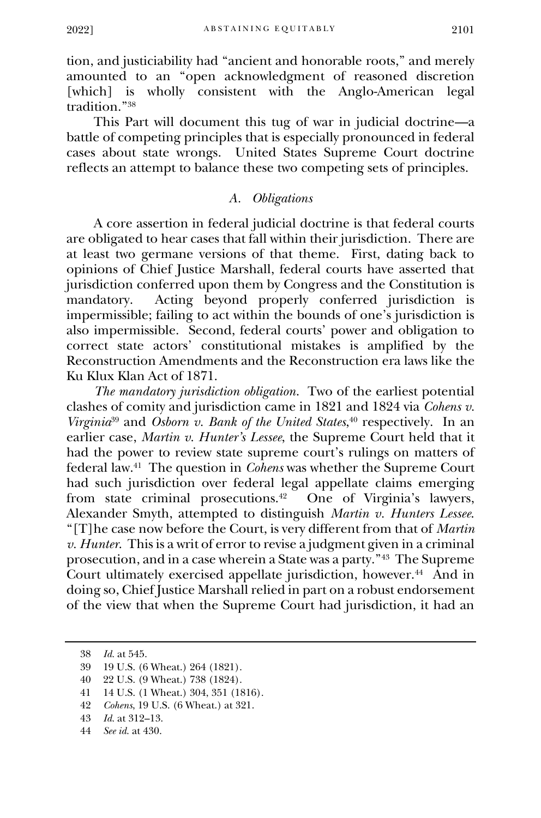tion, and justiciability had "ancient and honorable roots," and merely amounted to an "open acknowledgment of reasoned discretion [which] is wholly consistent with the Anglo-American legal tradition."<sup>38</sup>

This Part will document this tug of war in judicial doctrine—a battle of competing principles that is especially pronounced in federal cases about state wrongs. United States Supreme Court doctrine reflects an attempt to balance these two competing sets of principles.

## *A. Obligations*

A core assertion in federal judicial doctrine is that federal courts are obligated to hear cases that fall within their jurisdiction. There are at least two germane versions of that theme. First, dating back to opinions of Chief Justice Marshall, federal courts have asserted that jurisdiction conferred upon them by Congress and the Constitution is<br>mandatory. Acting beyond properly conferred jurisdiction is Acting beyond properly conferred jurisdiction is impermissible; failing to act within the bounds of one's jurisdiction is also impermissible. Second, federal courts' power and obligation to correct state actors' constitutional mistakes is amplified by the Reconstruction Amendments and the Reconstruction era laws like the Ku Klux Klan Act of 1871.

*The mandatory jurisdiction obligation*. Two of the earliest potential clashes of comity and jurisdiction came in 1821 and 1824 via *Cohens v. Virginia*<sup>39</sup> and *Osborn v. Bank of the United States*, <sup>40</sup> respectively.In an earlier case, *Martin v. Hunter's Lessee*, the Supreme Court held that it had the power to review state supreme court's rulings on matters of federal law.<sup>41</sup> The question in *Cohens* was whether the Supreme Court had such jurisdiction over federal legal appellate claims emerging from state criminal prosecutions.<sup>42</sup> One of Virginia's lawyers, Alexander Smyth, attempted to distinguish *Martin v. Hunters Lessee*. "[T]he case now before the Court, is very different from that of *Martin v. Hunter*. This is a writ of error to revise a judgment given in a criminal prosecution, and in a case wherein a State was a party."<sup>43</sup> The Supreme Court ultimately exercised appellate jurisdiction, however.<sup>44</sup> And in doing so, Chief Justice Marshall relied in part on a robust endorsement of the view that when the Supreme Court had jurisdiction, it had an

<sup>38</sup> *Id.* at 545.

<sup>39</sup> 19 U.S. (6 Wheat.) 264 (1821).

<sup>40</sup> 22 U.S. (9 Wheat.) 738 (1824).

<sup>41</sup> 14 U.S. (1 Wheat.) 304, 351 (1816).

<sup>42</sup> *Cohens*, 19 U.S. (6 Wheat.) at 321.

<sup>43</sup> *Id.* at 312–13.

<sup>44</sup> *See id.* at 430.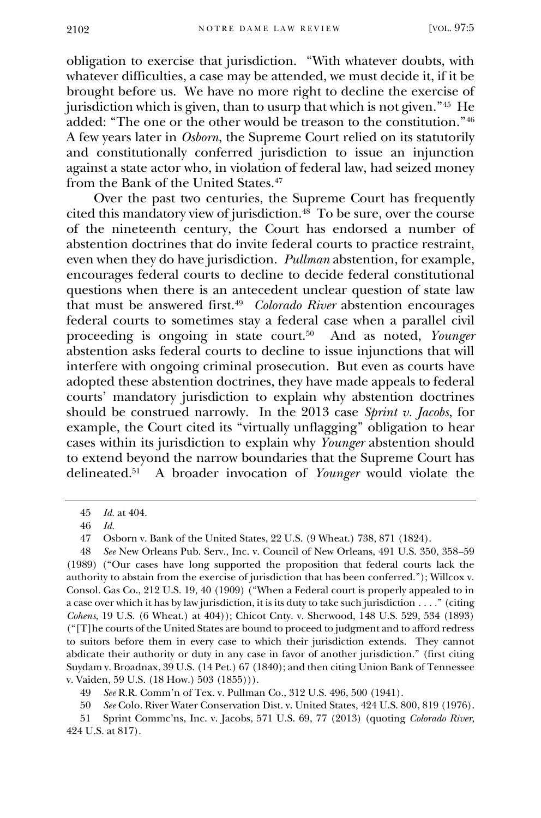obligation to exercise that jurisdiction. "With whatever doubts, with whatever difficulties, a case may be attended, we must decide it, if it be brought before us. We have no more right to decline the exercise of jurisdiction which is given, than to usurp that which is not given."<sup>45</sup> He added: "The one or the other would be treason to the constitution." $46$ A few years later in *Osborn*, the Supreme Court relied on its statutorily and constitutionally conferred jurisdiction to issue an injunction against a state actor who, in violation of federal law, had seized money from the Bank of the United States.<sup>47</sup>

Over the past two centuries, the Supreme Court has frequently cited this mandatory view of jurisdiction.<sup>48</sup> To be sure, over the course of the nineteenth century, the Court has endorsed a number of abstention doctrines that do invite federal courts to practice restraint, even when they do have jurisdiction. *Pullman* abstention, for example, encourages federal courts to decline to decide federal constitutional questions when there is an antecedent unclear question of state law that must be answered first.<sup>49</sup> *Colorado River* abstention encourages federal courts to sometimes stay a federal case when a parallel civil proceeding is ongoing in state court.<sup>50</sup> And as noted, *Younger*  abstention asks federal courts to decline to issue injunctions that will interfere with ongoing criminal prosecution. But even as courts have adopted these abstention doctrines, they have made appeals to federal courts' mandatory jurisdiction to explain why abstention doctrines should be construed narrowly. In the 2013 case *Sprint v. Jacobs*, for example, the Court cited its "virtually unflagging" obligation to hear cases within its jurisdiction to explain why *Younger* abstention should to extend beyond the narrow boundaries that the Supreme Court has delineated.<sup>51</sup> A broader invocation of *Younger* would violate the

<sup>45</sup> *Id.* at 404.

<sup>46</sup> *Id.*

<sup>47</sup> Osborn v. Bank of the United States, 22 U.S. (9 Wheat.) 738, 871 (1824).

<sup>48</sup> *See* New Orleans Pub. Serv., Inc. v. Council of New Orleans, 491 U.S. 350, 358–59 (1989) ("Our cases have long supported the proposition that federal courts lack the authority to abstain from the exercise of jurisdiction that has been conferred."); Willcox v. Consol. Gas Co., 212 U.S. 19, 40 (1909) ("When a Federal court is properly appealed to in a case over which it has by law jurisdiction, it is its duty to take such jurisdiction . . . ." (citing *Cohens*, 19 U.S. (6 Wheat.) at 404)); Chicot Cnty. v. Sherwood, 148 U.S. 529, 534 (1893) ("[T]he courts of the United States are bound to proceed to judgment and to afford redress to suitors before them in every case to which their jurisdiction extends. They cannot abdicate their authority or duty in any case in favor of another jurisdiction." (first citing Suydam v. Broadnax, 39 U.S. (14 Pet.) 67 (1840); and then citing Union Bank of Tennessee v. Vaiden, 59 U.S. (18 How.) 503 (1855))).

<sup>49</sup> *See* R.R. Comm'n of Tex. v. Pullman Co., 312 U.S. 496, 500 (1941).

<sup>50</sup> *See* Colo. River Water Conservation Dist. v. United States, 424 U.S. 800, 819 (1976).

<sup>51</sup> Sprint Commc'ns, Inc. v. Jacobs, 571 U.S. 69, 77 (2013) (quoting *Colorado River*, 424 U.S. at 817).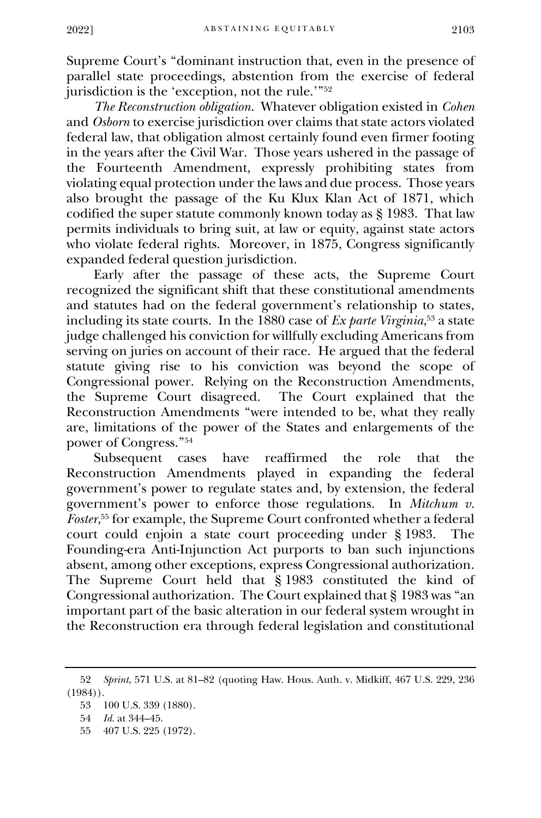Supreme Court's "dominant instruction that, even in the presence of parallel state proceedings, abstention from the exercise of federal jurisdiction is the 'exception, not the rule.'"<sup>52</sup>

*The Reconstruction obligation*. Whatever obligation existed in *Cohen*  and *Osborn* to exercise jurisdiction over claims that state actors violated federal law, that obligation almost certainly found even firmer footing in the years after the Civil War. Those years ushered in the passage of the Fourteenth Amendment, expressly prohibiting states from violating equal protection under the laws and due process. Those years also brought the passage of the Ku Klux Klan Act of 1871, which codified the super statute commonly known today as § 1983. That law permits individuals to bring suit, at law or equity, against state actors who violate federal rights. Moreover, in 1875, Congress significantly expanded federal question jurisdiction.

Early after the passage of these acts, the Supreme Court recognized the significant shift that these constitutional amendments and statutes had on the federal government's relationship to states, including its state courts. In the 1880 case of *Ex parte Virginia*, <sup>53</sup> a state judge challenged his conviction for willfully excluding Americans from serving on juries on account of their race. He argued that the federal statute giving rise to his conviction was beyond the scope of Congressional power. Relying on the Reconstruction Amendments, the Supreme Court disagreed. The Court explained that the The Court explained that the Reconstruction Amendments "were intended to be, what they really are, limitations of the power of the States and enlargements of the power of Congress."<sup>54</sup>

Subsequent cases have reaffirmed the role that the Reconstruction Amendments played in expanding the federal government's power to regulate states and, by extension, the federal government's power to enforce those regulations. In *Mitchum v. Foster*, <sup>55</sup> for example, the Supreme Court confronted whether a federal court could enjoin a state court proceeding under § 1983. The Founding-era Anti-Injunction Act purports to ban such injunctions absent, among other exceptions, express Congressional authorization. The Supreme Court held that § 1983 constituted the kind of Congressional authorization. The Court explained that § 1983 was "an important part of the basic alteration in our federal system wrought in the Reconstruction era through federal legislation and constitutional

<sup>52</sup> *Sprint*, 571 U.S. at 81–82 (quoting Haw. Hous. Auth. v. Midkiff, 467 U.S. 229, 236  $(1984)$ .

<sup>53</sup> 100 U.S. 339 (1880).

<sup>54</sup> *Id.* at 344–45.

<sup>55</sup> 407 U.S. 225 (1972).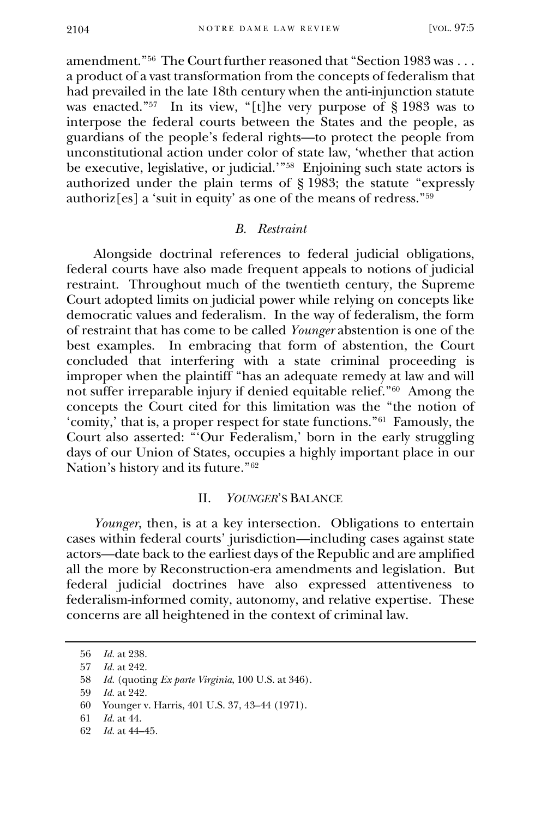amendment."<sup>56</sup> The Court further reasoned that "Section 1983 was . . . a product of a vast transformation from the concepts of federalism that had prevailed in the late 18th century when the anti-injunction statute was enacted."<sup>57</sup> In its view, "[t]he very purpose of § 1983 was to interpose the federal courts between the States and the people, as guardians of the people's federal rights—to protect the people from unconstitutional action under color of state law, 'whether that action be executive, legislative, or judicial.'"<sup>58</sup> Enjoining such state actors is authorized under the plain terms of § 1983; the statute "expressly authoriz[es] a 'suit in equity' as one of the means of redress."<sup>59</sup>

#### *B. Restraint*

Alongside doctrinal references to federal judicial obligations, federal courts have also made frequent appeals to notions of judicial restraint. Throughout much of the twentieth century, the Supreme Court adopted limits on judicial power while relying on concepts like democratic values and federalism. In the way of federalism, the form of restraint that has come to be called *Younger* abstention is one of the best examples. In embracing that form of abstention, the Court concluded that interfering with a state criminal proceeding is improper when the plaintiff "has an adequate remedy at law and will not suffer irreparable injury if denied equitable relief."<sup>60</sup> Among the concepts the Court cited for this limitation was the "the notion of 'comity,' that is, a proper respect for state functions."<sup>61</sup> Famously, the Court also asserted: "'Our Federalism,' born in the early struggling days of our Union of States, occupies a highly important place in our Nation's history and its future."<sup>62</sup>

### II. *YOUNGER*'S BALANCE

*Younger*, then, is at a key intersection. Obligations to entertain cases within federal courts' jurisdiction—including cases against state actors—date back to the earliest days of the Republic and are amplified all the more by Reconstruction-era amendments and legislation. But federal judicial doctrines have also expressed attentiveness to federalism-informed comity, autonomy, and relative expertise. These concerns are all heightened in the context of criminal law.

<sup>56</sup> *Id.* at 238.

<sup>57</sup> *Id.* at 242.

<sup>58</sup> *Id.* (quoting *Ex parte Virginia*, 100 U.S. at 346).

<sup>59</sup> *Id.* at 242.

<sup>60</sup> Younger v. Harris, 401 U.S. 37, 43–44 (1971).

<sup>61</sup> *Id.* at 44.

<sup>62</sup> *Id.* at 44–45.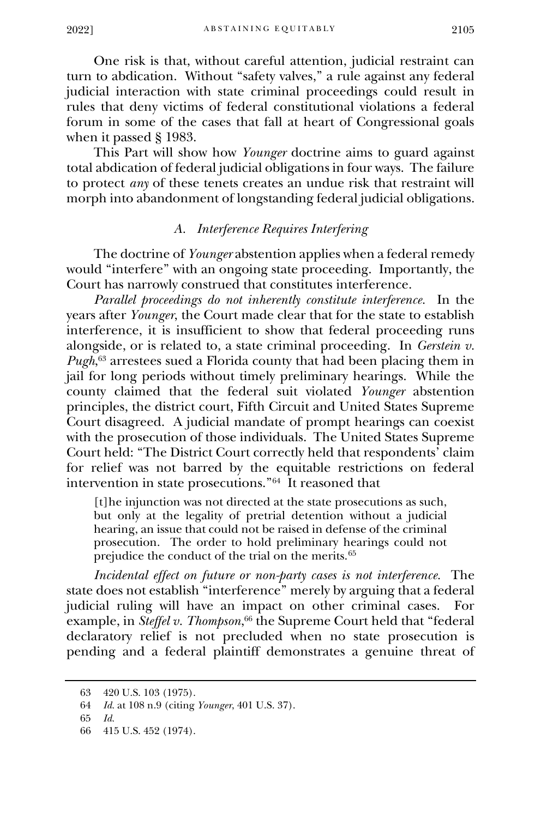One risk is that, without careful attention, judicial restraint can turn to abdication. Without "safety valves," a rule against any federal judicial interaction with state criminal proceedings could result in rules that deny victims of federal constitutional violations a federal forum in some of the cases that fall at heart of Congressional goals when it passed § 1983.

This Part will show how *Younger* doctrine aims to guard against total abdication of federal judicial obligations in four ways. The failure to protect *any* of these tenets creates an undue risk that restraint will morph into abandonment of longstanding federal judicial obligations.

## *A. Interference Requires Interfering*

The doctrine of *Younger* abstention applies when a federal remedy would "interfere" with an ongoing state proceeding. Importantly, the Court has narrowly construed that constitutes interference.

*Parallel proceedings do not inherently constitute interference.* In the years after *Younger*, the Court made clear that for the state to establish interference, it is insufficient to show that federal proceeding runs alongside, or is related to, a state criminal proceeding. In *Gerstein v. Pugh*, <sup>63</sup> arrestees sued a Florida county that had been placing them in jail for long periods without timely preliminary hearings. While the county claimed that the federal suit violated *Younger* abstention principles, the district court, Fifth Circuit and United States Supreme Court disagreed. A judicial mandate of prompt hearings can coexist with the prosecution of those individuals. The United States Supreme Court held: "The District Court correctly held that respondents' claim for relief was not barred by the equitable restrictions on federal intervention in state prosecutions."<sup>64</sup> It reasoned that

[t]he injunction was not directed at the state prosecutions as such, but only at the legality of pretrial detention without a judicial hearing, an issue that could not be raised in defense of the criminal prosecution. The order to hold preliminary hearings could not prejudice the conduct of the trial on the merits.<sup>65</sup>

*Incidental effect on future or non-party cases is not interference.* The state does not establish "interference" merely by arguing that a federal judicial ruling will have an impact on other criminal cases. For example, in *Steffel v. Thompson*, <sup>66</sup> the Supreme Court held that "federal declaratory relief is not precluded when no state prosecution is pending and a federal plaintiff demonstrates a genuine threat of

<sup>63</sup> 420 U.S. 103 (1975).

<sup>64</sup> *Id.* at 108 n.9 (citing *Younger*, 401 U.S. 37).

<sup>65</sup> *Id.*

<sup>66</sup> 415 U.S. 452 (1974).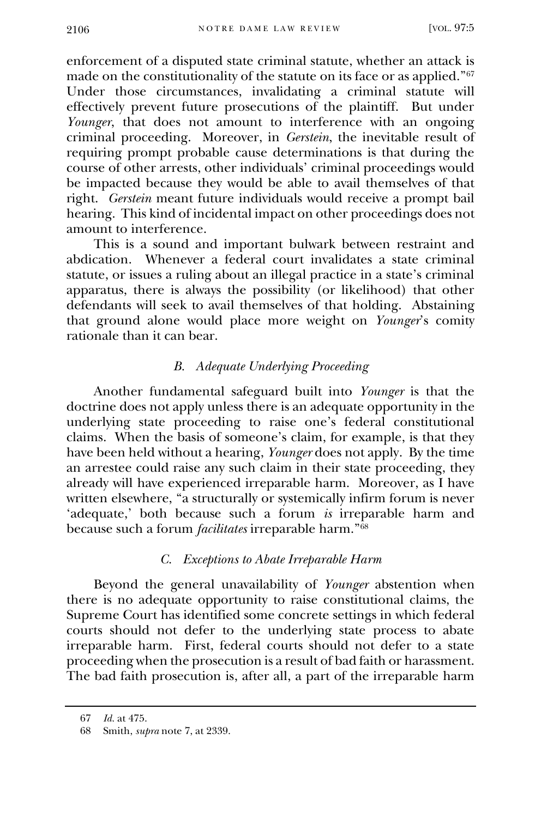enforcement of a disputed state criminal statute, whether an attack is made on the constitutionality of the statute on its face or as applied."<sup>67</sup> Under those circumstances, invalidating a criminal statute will effectively prevent future prosecutions of the plaintiff. But under *Younger*, that does not amount to interference with an ongoing criminal proceeding. Moreover, in *Gerstein*, the inevitable result of requiring prompt probable cause determinations is that during the course of other arrests, other individuals' criminal proceedings would be impacted because they would be able to avail themselves of that right. *Gerstein* meant future individuals would receive a prompt bail hearing. This kind of incidental impact on other proceedings does not amount to interference.

This is a sound and important bulwark between restraint and abdication. Whenever a federal court invalidates a state criminal statute, or issues a ruling about an illegal practice in a state's criminal apparatus, there is always the possibility (or likelihood) that other defendants will seek to avail themselves of that holding. Abstaining that ground alone would place more weight on *Younger*'s comity rationale than it can bear.

## *B. Adequate Underlying Proceeding*

Another fundamental safeguard built into *Younger* is that the doctrine does not apply unless there is an adequate opportunity in the underlying state proceeding to raise one's federal constitutional claims. When the basis of someone's claim, for example, is that they have been held without a hearing, *Younger* does not apply. By the time an arrestee could raise any such claim in their state proceeding, they already will have experienced irreparable harm. Moreover, as I have written elsewhere, "a structurally or systemically infirm forum is never 'adequate,' both because such a forum *is* irreparable harm and because such a forum *facilitates* irreparable harm."<sup>68</sup>

## *C. Exceptions to Abate Irreparable Harm*

Beyond the general unavailability of *Younger* abstention when there is no adequate opportunity to raise constitutional claims, the Supreme Court has identified some concrete settings in which federal courts should not defer to the underlying state process to abate irreparable harm. First, federal courts should not defer to a state proceeding when the prosecution is a result of bad faith or harassment. The bad faith prosecution is, after all, a part of the irreparable harm

<sup>67</sup> *Id.* at 475.

<sup>68</sup> Smith, *supra* note 7, at 2339.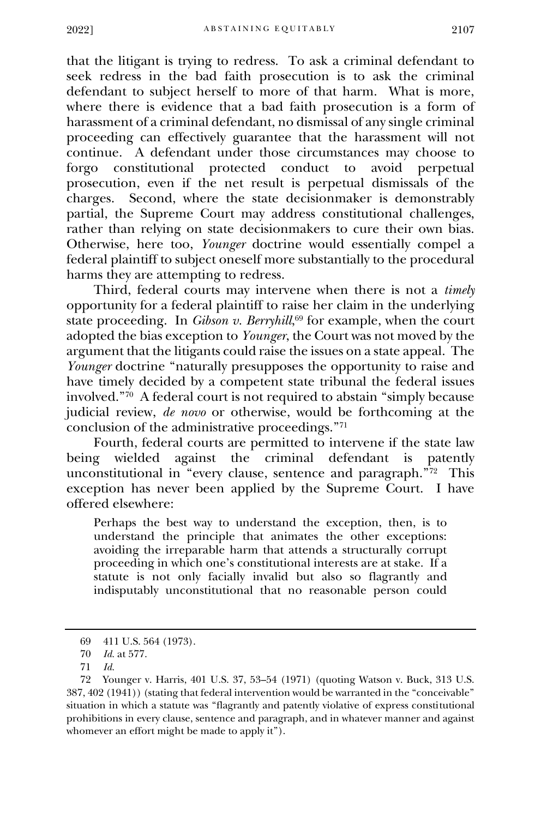that the litigant is trying to redress. To ask a criminal defendant to seek redress in the bad faith prosecution is to ask the criminal defendant to subject herself to more of that harm. What is more, where there is evidence that a bad faith prosecution is a form of harassment of a criminal defendant, no dismissal of any single criminal proceeding can effectively guarantee that the harassment will not continue. A defendant under those circumstances may choose to forgo constitutional protected conduct to prosecution, even if the net result is perpetual dismissals of the charges. Second, where the state decisionmaker is demonstrably partial, the Supreme Court may address constitutional challenges, rather than relying on state decisionmakers to cure their own bias. Otherwise, here too, *Younger* doctrine would essentially compel a federal plaintiff to subject oneself more substantially to the procedural harms they are attempting to redress.

Third, federal courts may intervene when there is not a *timely* opportunity for a federal plaintiff to raise her claim in the underlying state proceeding. In *Gibson v. Berryhill*, <sup>69</sup> for example, when the court adopted the bias exception to *Younger*, the Court was not moved by the argument that the litigants could raise the issues on a state appeal. The *Younger* doctrine "naturally presupposes the opportunity to raise and have timely decided by a competent state tribunal the federal issues involved."<sup>70</sup> A federal court is not required to abstain "simply because judicial review, *de novo* or otherwise, would be forthcoming at the conclusion of the administrative proceedings."<sup>71</sup>

Fourth, federal courts are permitted to intervene if the state law being wielded against the criminal defendant is patently unconstitutional in "every clause, sentence and paragraph."<sup>72</sup> This exception has never been applied by the Supreme Court. I have offered elsewhere:

Perhaps the best way to understand the exception, then, is to understand the principle that animates the other exceptions: avoiding the irreparable harm that attends a structurally corrupt proceeding in which one's constitutional interests are at stake. If a statute is not only facially invalid but also so flagrantly and indisputably unconstitutional that no reasonable person could

<sup>69</sup> 411 U.S. 564 (1973).

<sup>70</sup> *Id.* at 577.

<sup>71</sup> *Id.* 

<sup>72</sup> Younger v. Harris, 401 U.S. 37, 53–54 (1971) (quoting Watson v. Buck, 313 U.S. 387, 402 (1941)) (stating that federal intervention would be warranted in the "conceivable" situation in which a statute was "flagrantly and patently violative of express constitutional prohibitions in every clause, sentence and paragraph, and in whatever manner and against whomever an effort might be made to apply it").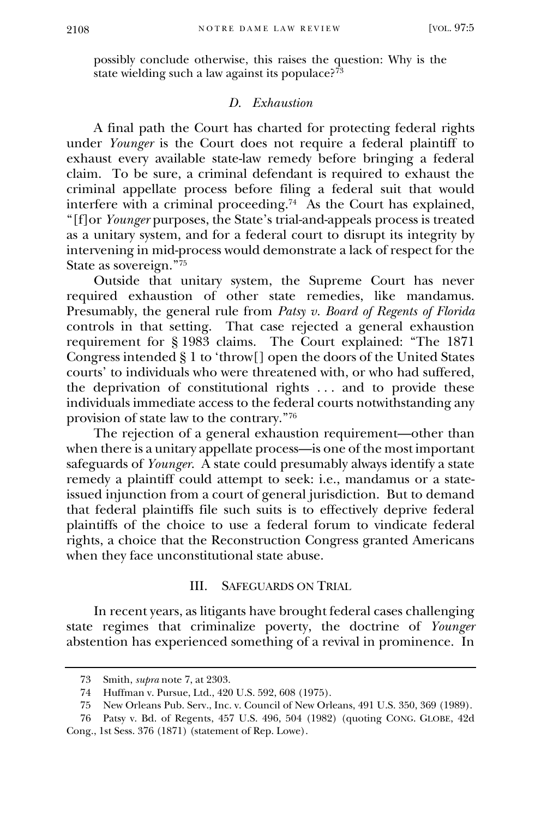possibly conclude otherwise, this raises the question: Why is the state wielding such a law against its populace? $\frac{73}{3}$ 

### *D. Exhaustion*

A final path the Court has charted for protecting federal rights under *Younger* is the Court does not require a federal plaintiff to exhaust every available state-law remedy before bringing a federal claim. To be sure, a criminal defendant is required to exhaust the criminal appellate process before filing a federal suit that would interfere with a criminal proceeding. 74 As the Court has explained, "[f]or *Younger* purposes, the State's trial-and-appeals process is treated as a unitary system, and for a federal court to disrupt its integrity by intervening in mid-process would demonstrate a lack of respect for the State as sovereign."<sup>75</sup>

Outside that unitary system, the Supreme Court has never required exhaustion of other state remedies, like mandamus. Presumably, the general rule from *Patsy v. Board of Regents of Florida*  controls in that setting. That case rejected a general exhaustion requirement for § 1983 claims. The Court explained: "The 1871 Congress intended § 1 to 'throw[] open the doors of the United States courts' to individuals who were threatened with, or who had suffered, the deprivation of constitutional rights . . . and to provide these individuals immediate access to the federal courts notwithstanding any provision of state law to the contrary."<sup>76</sup>

The rejection of a general exhaustion requirement—other than when there is a unitary appellate process—is one of the most important safeguards of *Younger*.A state could presumably always identify a state remedy a plaintiff could attempt to seek: i.e., mandamus or a stateissued injunction from a court of general jurisdiction. But to demand that federal plaintiffs file such suits is to effectively deprive federal plaintiffs of the choice to use a federal forum to vindicate federal rights, a choice that the Reconstruction Congress granted Americans when they face unconstitutional state abuse.

## III. SAFEGUARDS ON TRIAL

In recent years, as litigants have brought federal cases challenging state regimes that criminalize poverty, the doctrine of *Younger*  abstention has experienced something of a revival in prominence. In

<sup>73</sup> Smith, *supra* note 7, at 2303.

<sup>74</sup> Huffman v. Pursue, Ltd., 420 U.S. 592, 608 (1975).

<sup>75</sup> New Orleans Pub. Serv., Inc. v. Council of New Orleans, 491 U.S. 350, 369 (1989).

<sup>76</sup> Patsy v. Bd. of Regents, 457 U.S. 496, 504 (1982) (quoting CONG. GLOBE, 42d Cong., 1st Sess. 376 (1871) (statement of Rep. Lowe).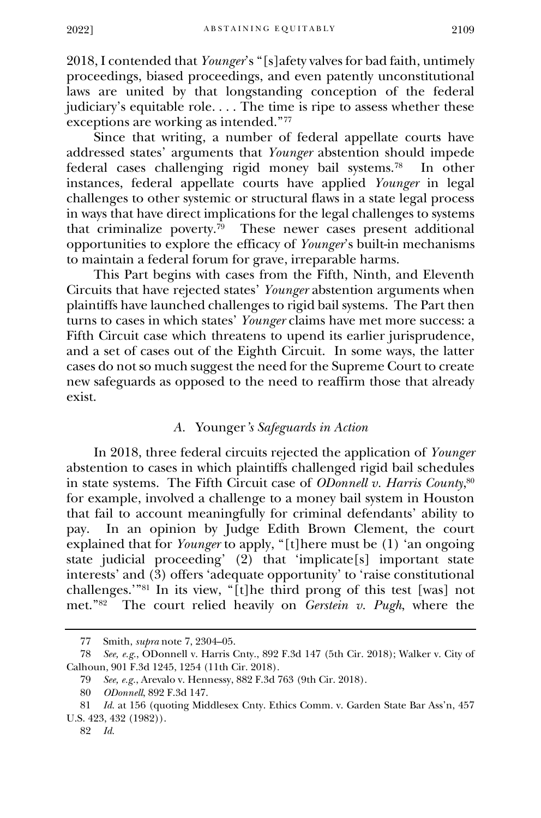2018, I contended that *Younger*'s "[s]afety valves for bad faith, untimely proceedings, biased proceedings, and even patently unconstitutional laws are united by that longstanding conception of the federal judiciary's equitable role. . . . The time is ripe to assess whether these exceptions are working as intended."<sup>77</sup>

Since that writing, a number of federal appellate courts have addressed states' arguments that *Younger* abstention should impede federal cases challenging rigid money bail systems.<sup>78</sup> In other instances, federal appellate courts have applied *Younger* in legal challenges to other systemic or structural flaws in a state legal process in ways that have direct implications for the legal challenges to systems that criminalize poverty.<sup>79</sup> These newer cases present additional opportunities to explore the efficacy of *Younger*'s built-in mechanisms to maintain a federal forum for grave, irreparable harms.

This Part begins with cases from the Fifth, Ninth, and Eleventh Circuits that have rejected states' *Younger* abstention arguments when plaintiffs have launched challenges to rigid bail systems. The Part then turns to cases in which states' *Younger* claims have met more success: a Fifth Circuit case which threatens to upend its earlier jurisprudence, and a set of cases out of the Eighth Circuit. In some ways, the latter cases do not so much suggest the need for the Supreme Court to create new safeguards as opposed to the need to reaffirm those that already exist.

#### *A.* Younger*'s Safeguards in Action*

In 2018, three federal circuits rejected the application of *Younger* abstention to cases in which plaintiffs challenged rigid bail schedules in state systems. The Fifth Circuit case of *ODonnell v. Harris County*, 80 for example, involved a challenge to a money bail system in Houston that fail to account meaningfully for criminal defendants' ability to pay. In an opinion by Judge Edith Brown Clement, the court explained that for *Younger* to apply, "[t]here must be (1) 'an ongoing state judicial proceeding' (2) that 'implicate[s] important state interests' and (3) offers 'adequate opportunity' to 'raise constitutional challenges.'"<sup>81</sup> In its view, "[t]he third prong of this test [was] not met."<sup>82</sup> The court relied heavily on *Gerstein v. Pugh*, where the

<sup>77</sup> Smith, *supra* note 7, 2304–05.

<sup>78</sup> *See, e.g.*, ODonnell v. Harris Cnty., 892 F.3d 147 (5th Cir. 2018); Walker v. City of Calhoun, 901 F.3d 1245, 1254 (11th Cir. 2018).

<sup>79</sup> *See, e.g.*, Arevalo v. Hennessy, 882 F.3d 763 (9th Cir. 2018).

<sup>80</sup> *ODonnell*, 892 F.3d 147.

<sup>81</sup> *Id.* at 156 (quoting Middlesex Cnty. Ethics Comm. v. Garden State Bar Ass'n, 457 U.S. 423, 432 (1982)).

<sup>82</sup> *Id.*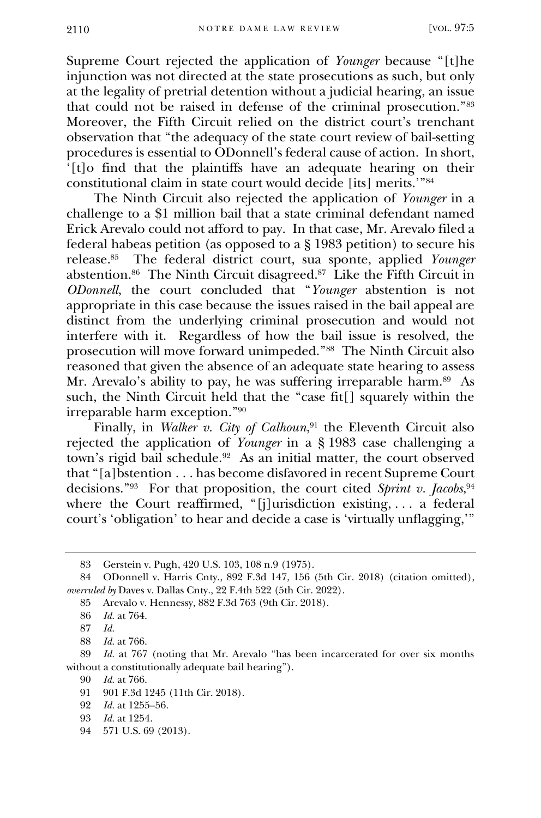Supreme Court rejected the application of *Younger* because "[t]he injunction was not directed at the state prosecutions as such, but only at the legality of pretrial detention without a judicial hearing, an issue that could not be raised in defense of the criminal prosecution."<sup>83</sup> Moreover, the Fifth Circuit relied on the district court's trenchant observation that "the adequacy of the state court review of bail-setting procedures is essential to ODonnell's federal cause of action. In short, '[t]o find that the plaintiffs have an adequate hearing on their constitutional claim in state court would decide [its] merits.'"<sup>84</sup>

The Ninth Circuit also rejected the application of *Younger* in a challenge to a \$1 million bail that a state criminal defendant named Erick Arevalo could not afford to pay. In that case, Mr. Arevalo filed a federal habeas petition (as opposed to a  $\S$  1983 petition) to secure his release.<sup>85</sup> The federal district court, sua sponte, applied *Younger* abstention.<sup>86</sup> The Ninth Circuit disagreed.<sup>87</sup> Like the Fifth Circuit in *ODonnell*, the court concluded that "*Younger* abstention is not appropriate in this case because the issues raised in the bail appeal are distinct from the underlying criminal prosecution and would not interfere with it. Regardless of how the bail issue is resolved, the prosecution will move forward unimpeded."<sup>88</sup> The Ninth Circuit also reasoned that given the absence of an adequate state hearing to assess Mr. Arevalo's ability to pay, he was suffering irreparable harm.<sup>89</sup> As such, the Ninth Circuit held that the "case fit[] squarely within the irreparable harm exception."<sup>90</sup>

Finally, in *Walker v. City of Calhoun*, <sup>91</sup> the Eleventh Circuit also rejected the application of *Younger* in a § 1983 case challenging a town's rigid bail schedule.<sup>92</sup> As an initial matter, the court observed that "[a]bstention . . . has become disfavored in recent Supreme Court decisions."<sup>93</sup> For that proposition, the court cited *Sprint v. Jacobs*, 94 where the Court reaffirmed, "[j]urisdiction existing, ... a federal court's 'obligation' to hear and decide a case is 'virtually unflagging,'"

94 571 U.S. 69 (2013).

<sup>83</sup> Gerstein v. Pugh, 420 U.S. 103, 108 n.9 (1975).

<sup>84</sup> ODonnell v. Harris Cnty., 892 F.3d 147, 156 (5th Cir. 2018) (citation omitted), *overruled by* Daves v. Dallas Cnty., 22 F.4th 522 (5th Cir. 2022).

<sup>85</sup> Arevalo v. Hennessy, 882 F.3d 763 (9th Cir. 2018).

<sup>86</sup> *Id.* at 764.

<sup>87</sup> *Id.*

<sup>88</sup> *Id.* at 766.

<sup>89</sup> *Id.* at 767 (noting that Mr. Arevalo "has been incarcerated for over six months without a constitutionally adequate bail hearing").

<sup>90</sup> *Id.* at 766.

<sup>91</sup> 901 F.3d 1245 (11th Cir. 2018).

<sup>92</sup> *Id.* at 1255–56.

<sup>93</sup> *Id.* at 1254.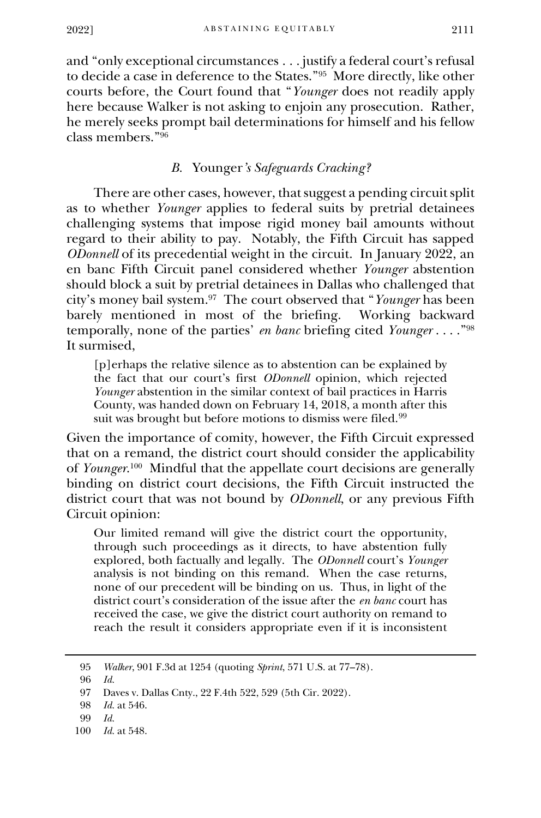and "only exceptional circumstances . . . justify a federal court's refusal to decide a case in deference to the States."<sup>95</sup> More directly, like other courts before, the Court found that "*Younger* does not readily apply here because Walker is not asking to enjoin any prosecution. Rather, he merely seeks prompt bail determinations for himself and his fellow class members."<sup>96</sup>

# *B.* Younger*'s Safeguards Cracking?*

There are other cases, however, that suggest a pending circuit split as to whether *Younger* applies to federal suits by pretrial detainees challenging systems that impose rigid money bail amounts without regard to their ability to pay. Notably, the Fifth Circuit has sapped *ODonnell* of its precedential weight in the circuit. In January 2022, an en banc Fifth Circuit panel considered whether *Younger* abstention should block a suit by pretrial detainees in Dallas who challenged that city's money bail system.<sup>97</sup> The court observed that "*Younger* has been barely mentioned in most of the briefing. Working backward temporally, none of the parties' *en banc* briefing cited *Younger* . . . ."<sup>98</sup> It surmised,

[p]erhaps the relative silence as to abstention can be explained by the fact that our court's first *ODonnell* opinion, which rejected *Younger* abstention in the similar context of bail practices in Harris County, was handed down on February 14, 2018, a month after this suit was brought but before motions to dismiss were filed.<sup>99</sup>

Given the importance of comity, however, the Fifth Circuit expressed that on a remand, the district court should consider the applicability of *Younger*. 100 Mindful that the appellate court decisions are generally binding on district court decisions, the Fifth Circuit instructed the district court that was not bound by *ODonnell*, or any previous Fifth Circuit opinion:

Our limited remand will give the district court the opportunity, through such proceedings as it directs, to have abstention fully explored, both factually and legally. The *ODonnell* court's *Younger* analysis is not binding on this remand. When the case returns, none of our precedent will be binding on us. Thus, in light of the district court's consideration of the issue after the *en banc* court has received the case, we give the district court authority on remand to reach the result it considers appropriate even if it is inconsistent

<sup>95</sup> *Walker*, 901 F.3d at 1254 (quoting *Sprint*, 571 U.S. at 77–78).

<sup>96</sup> *Id.*

<sup>97</sup> Daves v. Dallas Cnty., 22 F.4th 522, 529 (5th Cir. 2022).

<sup>98</sup> *Id.* at 546.

<sup>99</sup> *Id.* 

<sup>100</sup> *Id.* at 548.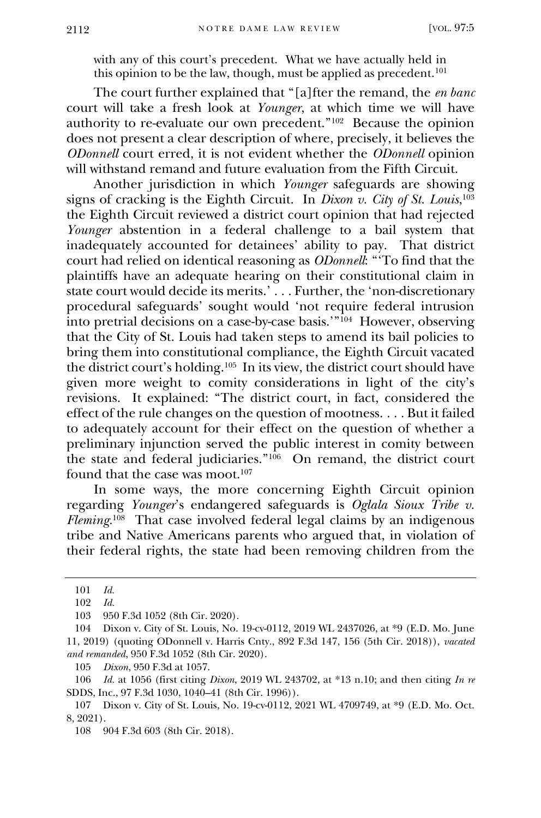with any of this court's precedent. What we have actually held in this opinion to be the law, though, must be applied as precedent.<sup>101</sup>

The court further explained that "[a]fter the remand, the *en banc* court will take a fresh look at *Younger*, at which time we will have authority to re-evaluate our own precedent."<sup>102</sup> Because the opinion does not present a clear description of where, precisely, it believes the *ODonnell* court erred, it is not evident whether the *ODonnell* opinion will withstand remand and future evaluation from the Fifth Circuit.

Another jurisdiction in which *Younger* safeguards are showing signs of cracking is the Eighth Circuit. In *Dixon v. City of St. Louis*, 103 the Eighth Circuit reviewed a district court opinion that had rejected *Younger* abstention in a federal challenge to a bail system that inadequately accounted for detainees' ability to pay. That district court had relied on identical reasoning as *ODonnell*: "'To find that the plaintiffs have an adequate hearing on their constitutional claim in state court would decide its merits.'... Further, the 'non-discretionary procedural safeguards' sought would 'not require federal intrusion into pretrial decisions on a case-by-case basis.'"<sup>104</sup> However, observing that the City of St. Louis had taken steps to amend its bail policies to bring them into constitutional compliance, the Eighth Circuit vacated the district court's holding.<sup>105</sup> In its view, the district court should have given more weight to comity considerations in light of the city's revisions. It explained: "The district court, in fact, considered the effect of the rule changes on the question of mootness. . . . But it failed to adequately account for their effect on the question of whether a preliminary injunction served the public interest in comity between the state and federal judiciaries."<sup>106</sup> On remand, the district court found that the case was moot.<sup>107</sup>

In some ways, the more concerning Eighth Circuit opinion regarding *Younger*'s endangered safeguards is *Oglala Sioux Tribe v. Fleming*. 108 That case involved federal legal claims by an indigenous tribe and Native Americans parents who argued that, in violation of their federal rights, the state had been removing children from the

105 *Dixon*, 950 F.3d at 1057.

<sup>101</sup> *Id.* 

<sup>102</sup> *Id.* 

<sup>103</sup> 950 F.3d 1052 (8th Cir. 2020).

<sup>104</sup> Dixon v. City of St. Louis, No. 19-cv-0112, 2019 WL 2437026, at \*9 (E.D. Mo. June 11, 2019) (quoting ODonnell v. Harris Cnty., 892 F.3d 147, 156 (5th Cir. 2018)), *vacated and remanded*, 950 F.3d 1052 (8th Cir. 2020).

<sup>106</sup> *Id.* at 1056 (first citing *Dixon*, 2019 WL 243702, at \*13 n.10; and then citing *In re* SDDS, Inc., 97 F.3d 1030, 1040–41 (8th Cir. 1996)).

<sup>107</sup> Dixon v. City of St. Louis, No. 19-cv-0112, 2021 WL 4709749, at \*9 (E.D. Mo. Oct. 8, 2021).

<sup>108</sup> 904 F.3d 603 (8th Cir. 2018).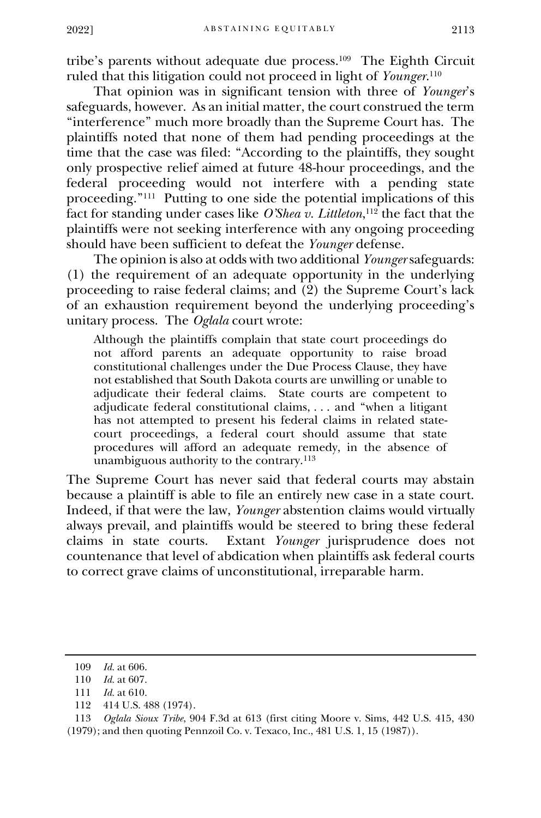tribe's parents without adequate due process.<sup>109</sup> The Eighth Circuit ruled that this litigation could not proceed in light of *Younger*. 110

That opinion was in significant tension with three of *Younger*'s safeguards, however. As an initial matter, the court construed the term "interference" much more broadly than the Supreme Court has. The plaintiffs noted that none of them had pending proceedings at the time that the case was filed: "According to the plaintiffs, they sought only prospective relief aimed at future 48-hour proceedings, and the federal proceeding would not interfere with a pending state proceeding." 111 Putting to one side the potential implications of this fact for standing under cases like *O'Shea v. Littleton*, <sup>112</sup> the fact that the plaintiffs were not seeking interference with any ongoing proceeding should have been sufficient to defeat the *Younger* defense.

The opinion is also at odds with two additional *Younger* safeguards: (1) the requirement of an adequate opportunity in the underlying proceeding to raise federal claims; and  $(2)$  the Supreme Court's lack of an exhaustion requirement beyond the underlying proceeding's unitary process. The *Oglala* court wrote:

Although the plaintiffs complain that state court proceedings do not afford parents an adequate opportunity to raise broad constitutional challenges under the Due Process Clause, they have not established that South Dakota courts are unwilling or unable to adjudicate their federal claims. State courts are competent to adjudicate federal constitutional claims, . . . and "when a litigant has not attempted to present his federal claims in related statecourt proceedings, a federal court should assume that state procedures will afford an adequate remedy, in the absence of unambiguous authority to the contrary.<sup>113</sup>

The Supreme Court has never said that federal courts may abstain because a plaintiff is able to file an entirely new case in a state court. Indeed, if that were the law, *Younger* abstention claims would virtually always prevail, and plaintiffs would be steered to bring these federal claims in state courts. Extant Younger jurisprudence does not Extant *Younger* jurisprudence does not countenance that level of abdication when plaintiffs ask federal courts to correct grave claims of unconstitutional, irreparable harm.

112 414 U.S. 488 (1974).

113 *Oglala Sioux Tribe*, 904 F.3d at 613 (first citing Moore v. Sims, 442 U.S. 415, 430 (1979); and then quoting Pennzoil Co. v. Texaco, Inc., 481 U.S. 1, 15 (1987)).

<sup>109</sup> *Id.* at 606.

<sup>110</sup> *Id.* at 607.

<sup>111</sup> *Id.* at 610.